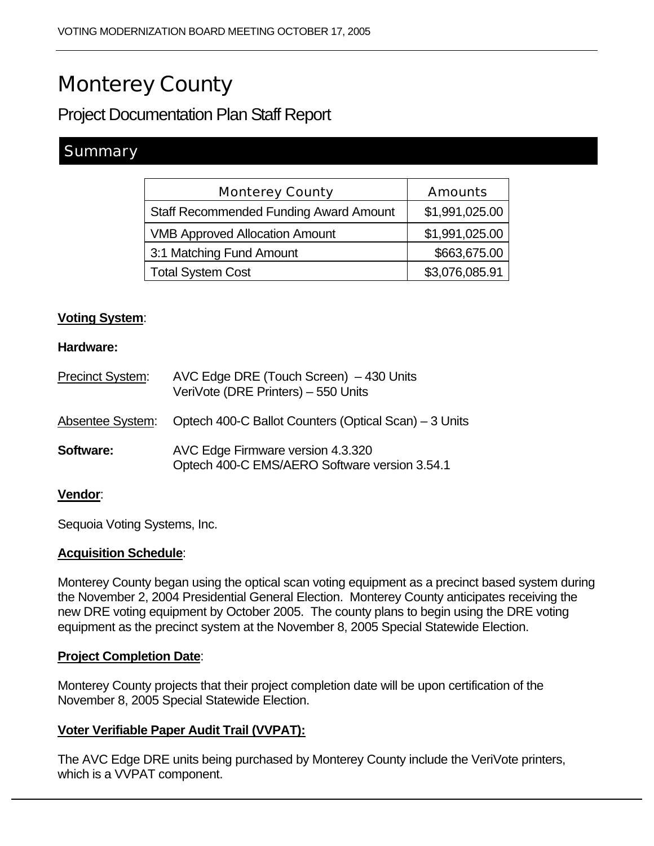# Monterey County

Project Documentation Plan Staff Report

# **Summary**

| <b>Amounts</b> |
|----------------|
| \$1,991,025.00 |
| \$1,991,025.00 |
| \$663,675.00   |
| \$3,076,085.91 |
|                |

# **Voting System**:

#### **Hardware:**

| Precinct System: | AVC Edge DRE (Touch Screen) - 430 Units<br>VeriVote (DRE Printers) - 550 Units     |
|------------------|------------------------------------------------------------------------------------|
| Absentee System: | Optech 400-C Ballot Counters (Optical Scan) – 3 Units                              |
| <b>Software:</b> | AVC Edge Firmware version 4.3.320<br>Optech 400-C EMS/AERO Software version 3.54.1 |

## **Vendor**:

Sequoia Voting Systems, Inc.

#### **Acquisition Schedule**:

Monterey County began using the optical scan voting equipment as a precinct based system during the November 2, 2004 Presidential General Election. Monterey County anticipates receiving the new DRE voting equipment by October 2005. The county plans to begin using the DRE voting equipment as the precinct system at the November 8, 2005 Special Statewide Election.

## **Project Completion Date**:

Monterey County projects that their project completion date will be upon certification of the November 8, 2005 Special Statewide Election.

# **Voter Verifiable Paper Audit Trail (VVPAT):**

The AVC Edge DRE units being purchased by Monterey County include the VeriVote printers, which is a VVPAT component.